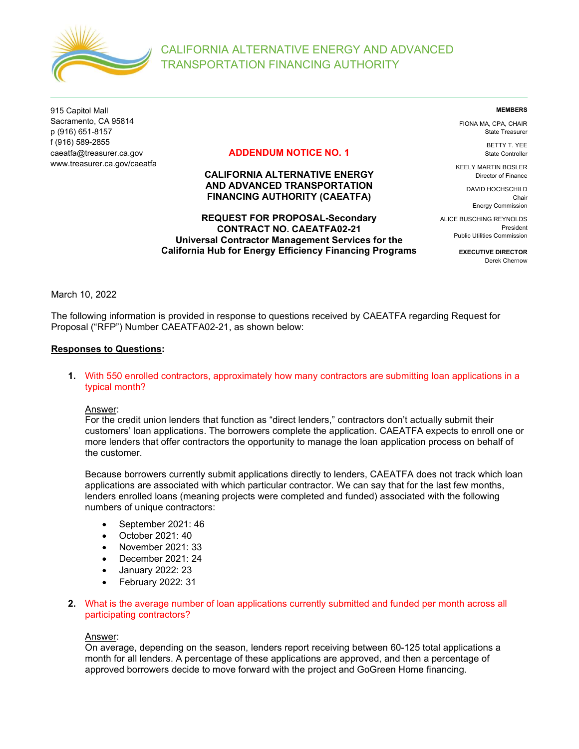

915 Capitol Mall Sacramento, CA 95814 p (916) 651-8157 f (916) 589-2855 caeatfa@treasurer.ca.gov www.treasurer.ca.gov/caeatfa

# ADDENDUM NOTICE NO. 1

# CALIFORNIA ALTERNATIVE ENERGY AND ADVANCED TRANSPORTATION FINANCING AUTHORITY (CAEATFA)

REQUEST FOR PROPOSAL-Secondary CONTRACT NO. CAEATFA02-21 Universal Contractor Management Services for the California Hub for Energy Efficiency Financing Programs MEMBERS

FIONA MA, CPA, CHAIR State Treasurer

> BETTY T. YEE State Controller

KEELY MARTIN BOSLER Director of Finance

> DAVID HOCHSCHILD Chair Energy Commission

ALICE BUSCHING REYNOLDS President Public Utilities Commission

> EXECUTIVE DIRECTOR Derek Chernow

March 10, 2022

The following information is provided in response to questions received by CAEATFA regarding Request for Proposal ("RFP") Number CAEATFA02-21, as shown below:

### Responses to Questions:

1. With 550 enrolled contractors, approximately how many contractors are submitting loan applications in a typical month?

Answer:

For the credit union lenders that function as "direct lenders," contractors don't actually submit their customers' loan applications. The borrowers complete the application. CAEATFA expects to enroll one or more lenders that offer contractors the opportunity to manage the loan application process on behalf of the customer.

Because borrowers currently submit applications directly to lenders, CAEATFA does not track which loan applications are associated with which particular contractor. We can say that for the last few months, lenders enrolled loans (meaning projects were completed and funded) associated with the following numbers of unique contractors:

- September 2021: 46
- October 2021: 40
- November 2021: 33
- December 2021: 24
- January 2022: 23
- February 2022: 31
- 2. What is the average number of loan applications currently submitted and funded per month across all participating contractors?

### Answer:

On average, depending on the season, lenders report receiving between 60-125 total applications a month for all lenders. A percentage of these applications are approved, and then a percentage of approved borrowers decide to move forward with the project and GoGreen Home financing.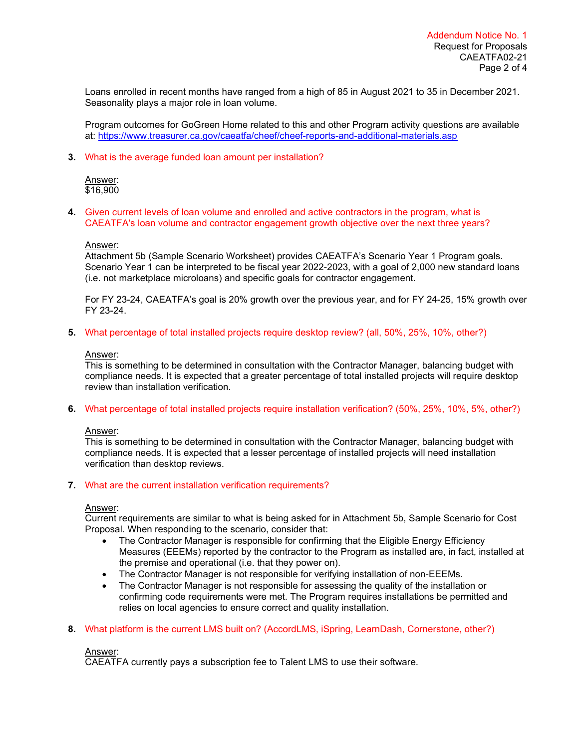Loans enrolled in recent months have ranged from a high of 85 in August 2021 to 35 in December 2021. Seasonality plays a major role in loan volume.

Program outcomes for GoGreen Home related to this and other Program activity questions are available at: https://www.treasurer.ca.gov/caeatfa/cheef/cheef-reports-and-additional-materials.asp

### 3. What is the average funded loan amount per installation?

Answer: \$16,900

4. Given current levels of loan volume and enrolled and active contractors in the program, what is CAEATFA's loan volume and contractor engagement growth objective over the next three years?

### Answer:

Attachment 5b (Sample Scenario Worksheet) provides CAEATFA's Scenario Year 1 Program goals. Scenario Year 1 can be interpreted to be fiscal year 2022-2023, with a goal of 2,000 new standard loans (i.e. not marketplace microloans) and specific goals for contractor engagement.

For FY 23-24, CAEATFA's goal is 20% growth over the previous year, and for FY 24-25, 15% growth over FY 23-24.

5. What percentage of total installed projects require desktop review? (all, 50%, 25%, 10%, other?)

### Answer:

This is something to be determined in consultation with the Contractor Manager, balancing budget with compliance needs. It is expected that a greater percentage of total installed projects will require desktop review than installation verification.

6. What percentage of total installed projects require installation verification? (50%, 25%, 10%, 5%, other?)

## Answer:

This is something to be determined in consultation with the Contractor Manager, balancing budget with compliance needs. It is expected that a lesser percentage of installed projects will need installation verification than desktop reviews.

## 7. What are the current installation verification requirements?

## Answer:

Current requirements are similar to what is being asked for in Attachment 5b, Sample Scenario for Cost Proposal. When responding to the scenario, consider that:

- The Contractor Manager is responsible for confirming that the Eligible Energy Efficiency Measures (EEEMs) reported by the contractor to the Program as installed are, in fact, installed at the premise and operational (i.e. that they power on).
- The Contractor Manager is not responsible for verifying installation of non-EEEMs.
- The Contractor Manager is not responsible for assessing the quality of the installation or confirming code requirements were met. The Program requires installations be permitted and relies on local agencies to ensure correct and quality installation.
- 8. What platform is the current LMS built on? (AccordLMS, iSpring, LearnDash, Cornerstone, other?)

### Answer:

CAEATFA currently pays a subscription fee to Talent LMS to use their software.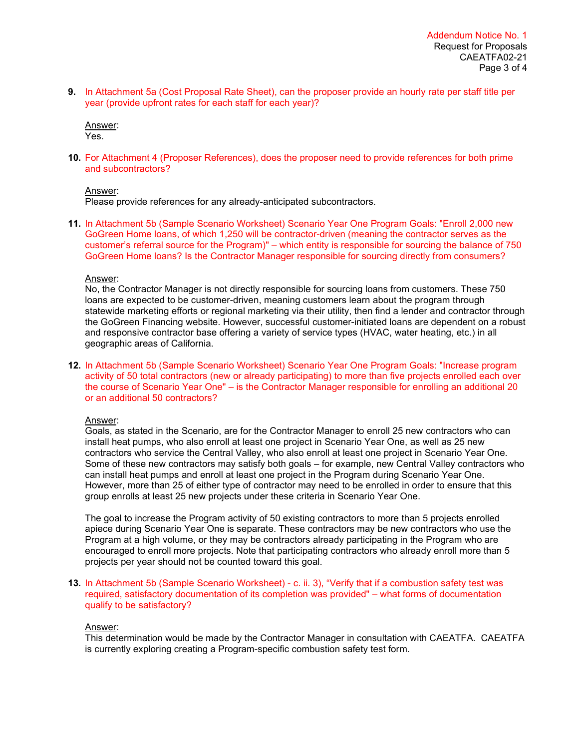9. In Attachment 5a (Cost Proposal Rate Sheet), can the proposer provide an hourly rate per staff title per year (provide upfront rates for each staff for each year)?

Answer: Yes.

10. For Attachment 4 (Proposer References), does the proposer need to provide references for both prime and subcontractors?

### Answer:

Please provide references for any already-anticipated subcontractors.

11. In Attachment 5b (Sample Scenario Worksheet) Scenario Year One Program Goals: "Enroll 2,000 new GoGreen Home loans, of which 1,250 will be contractor-driven (meaning the contractor serves as the customer's referral source for the Program)" – which entity is responsible for sourcing the balance of 750 GoGreen Home loans? Is the Contractor Manager responsible for sourcing directly from consumers?

### Answer:

No, the Contractor Manager is not directly responsible for sourcing loans from customers. These 750 loans are expected to be customer-driven, meaning customers learn about the program through statewide marketing efforts or regional marketing via their utility, then find a lender and contractor through the GoGreen Financing website. However, successful customer-initiated loans are dependent on a robust and responsive contractor base offering a variety of service types (HVAC, water heating, etc.) in all geographic areas of California.

12. In Attachment 5b (Sample Scenario Worksheet) Scenario Year One Program Goals: "Increase program activity of 50 total contractors (new or already participating) to more than five projects enrolled each over the course of Scenario Year One" – is the Contractor Manager responsible for enrolling an additional 20 or an additional 50 contractors?

## Answer:

Goals, as stated in the Scenario, are for the Contractor Manager to enroll 25 new contractors who can install heat pumps, who also enroll at least one project in Scenario Year One, as well as 25 new contractors who service the Central Valley, who also enroll at least one project in Scenario Year One. Some of these new contractors may satisfy both goals – for example, new Central Valley contractors who can install heat pumps and enroll at least one project in the Program during Scenario Year One. However, more than 25 of either type of contractor may need to be enrolled in order to ensure that this group enrolls at least 25 new projects under these criteria in Scenario Year One.

The goal to increase the Program activity of 50 existing contractors to more than 5 projects enrolled apiece during Scenario Year One is separate. These contractors may be new contractors who use the Program at a high volume, or they may be contractors already participating in the Program who are encouraged to enroll more projects. Note that participating contractors who already enroll more than 5 projects per year should not be counted toward this goal.

13. In Attachment 5b (Sample Scenario Worksheet) - c. ii. 3), "Verify that if a combustion safety test was required, satisfactory documentation of its completion was provided" – what forms of documentation qualify to be satisfactory?

### Answer:

This determination would be made by the Contractor Manager in consultation with CAEATFA. CAEATFA is currently exploring creating a Program-specific combustion safety test form.